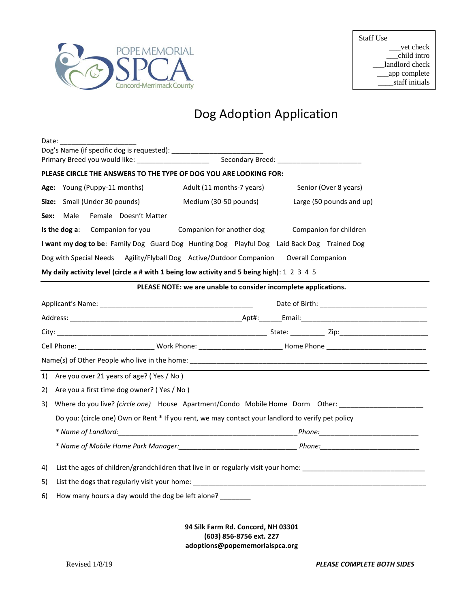

## Dog Adoption Application

| Date:                                                                                             |                                                                                                                |                                                                 |                                                                                                                                                                                                                               |  |  |  |  |  |  |  |
|---------------------------------------------------------------------------------------------------|----------------------------------------------------------------------------------------------------------------|-----------------------------------------------------------------|-------------------------------------------------------------------------------------------------------------------------------------------------------------------------------------------------------------------------------|--|--|--|--|--|--|--|
|                                                                                                   | Primary Breed you would like: ____________________                                                             |                                                                 |                                                                                                                                                                                                                               |  |  |  |  |  |  |  |
|                                                                                                   | PLEASE CIRCLE THE ANSWERS TO THE TYPE OF DOG YOU ARE LOOKING FOR:                                              |                                                                 |                                                                                                                                                                                                                               |  |  |  |  |  |  |  |
|                                                                                                   | Age: Young (Puppy-11 months)                                                                                   | Adult (11 months-7 years)                                       | Senior (Over 8 years)                                                                                                                                                                                                         |  |  |  |  |  |  |  |
|                                                                                                   | Size: Small (Under 30 pounds)                                                                                  | Medium (30-50 pounds)                                           | Large (50 pounds and up)                                                                                                                                                                                                      |  |  |  |  |  |  |  |
| Sex:                                                                                              | Female Doesn't Matter<br>Male                                                                                  |                                                                 |                                                                                                                                                                                                                               |  |  |  |  |  |  |  |
|                                                                                                   | Companion for you<br>Is the dog $a$ :                                                                          | Companion for another dog                                       | Companion for children                                                                                                                                                                                                        |  |  |  |  |  |  |  |
|                                                                                                   | I want my dog to be: Family Dog Guard Dog Hunting Dog Playful Dog Laid Back Dog Trained Dog                    |                                                                 |                                                                                                                                                                                                                               |  |  |  |  |  |  |  |
|                                                                                                   | Dog with Special Needs Agility/Flyball Dog Active/Outdoor Companion Overall Companion                          |                                                                 |                                                                                                                                                                                                                               |  |  |  |  |  |  |  |
|                                                                                                   | My daily activity level (circle a # with 1 being low activity and 5 being high): $1\ 2\ 3\ 4\ 5$               |                                                                 |                                                                                                                                                                                                                               |  |  |  |  |  |  |  |
|                                                                                                   |                                                                                                                | PLEASE NOTE: we are unable to consider incomplete applications. |                                                                                                                                                                                                                               |  |  |  |  |  |  |  |
|                                                                                                   |                                                                                                                |                                                                 |                                                                                                                                                                                                                               |  |  |  |  |  |  |  |
|                                                                                                   |                                                                                                                |                                                                 |                                                                                                                                                                                                                               |  |  |  |  |  |  |  |
|                                                                                                   |                                                                                                                |                                                                 |                                                                                                                                                                                                                               |  |  |  |  |  |  |  |
|                                                                                                   |                                                                                                                |                                                                 |                                                                                                                                                                                                                               |  |  |  |  |  |  |  |
|                                                                                                   |                                                                                                                |                                                                 |                                                                                                                                                                                                                               |  |  |  |  |  |  |  |
| 1)                                                                                                | Are you over 21 years of age? (Yes / No)                                                                       |                                                                 |                                                                                                                                                                                                                               |  |  |  |  |  |  |  |
| 2)                                                                                                | Are you a first time dog owner? (Yes / No)                                                                     |                                                                 |                                                                                                                                                                                                                               |  |  |  |  |  |  |  |
| 3)                                                                                                | Where do you live? (circle one) House Apartment/Condo Mobile Home Dorm Other:                                  |                                                                 |                                                                                                                                                                                                                               |  |  |  |  |  |  |  |
| Do you: (circle one) Own or Rent * If you rent, we may contact your landlord to verify pet policy |                                                                                                                |                                                                 |                                                                                                                                                                                                                               |  |  |  |  |  |  |  |
|                                                                                                   |                                                                                                                |                                                                 |                                                                                                                                                                                                                               |  |  |  |  |  |  |  |
|                                                                                                   |                                                                                                                |                                                                 |                                                                                                                                                                                                                               |  |  |  |  |  |  |  |
|                                                                                                   | List the ages of children/grandchildren that live in or regularly visit your home: ___________________________ |                                                                 |                                                                                                                                                                                                                               |  |  |  |  |  |  |  |
|                                                                                                   |                                                                                                                |                                                                 | List the dogs that regularly visit your home: Notified the substitution of the control of the control of the control of the control of the control of the control of the control of the control of the control of the control |  |  |  |  |  |  |  |
| 4)<br>5)                                                                                          |                                                                                                                |                                                                 |                                                                                                                                                                                                                               |  |  |  |  |  |  |  |

**94 Silk Farm Rd. Concord, NH 03301 (603) 856-8756 ext. 227 adoptions@popememorialspca.org**